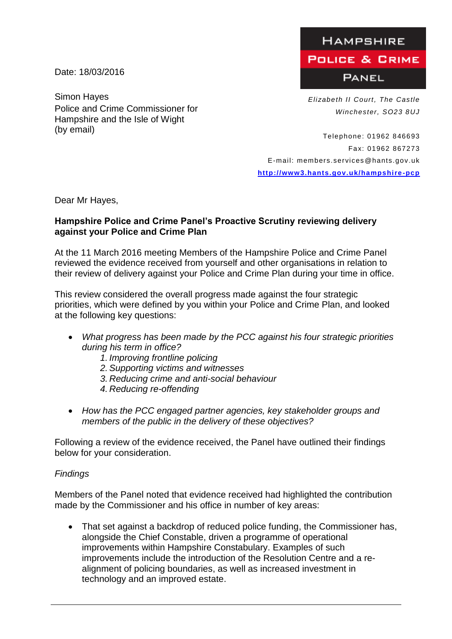Date: 18/03/2016

Simon Hayes *Elizabeth II Court, The Castle* Police and Crime Commissioner for Hampshire and the Isle of Wight (by email)

**HAMPSHIRE POLICE & GRIME PANEL** 

*Winchester, SO23 8UJ*

Telephone: 01962 846693 Fax: 01962 867273 E-mail: members.services@hants.gov.uk **[http://www3.hants.gov.uk/hampshire](http://www3.hants.gov.uk/hampshire-pcp) -pcp**

Dear Mr Hayes,

## **Hampshire Police and Crime Panel's Proactive Scrutiny reviewing delivery against your Police and Crime Plan**

At the 11 March 2016 meeting Members of the Hampshire Police and Crime Panel reviewed the evidence received from yourself and other organisations in relation to their review of delivery against your Police and Crime Plan during your time in office.

This review considered the overall progress made against the four strategic priorities, which were defined by you within your Police and Crime Plan, and looked at the following key questions:

- *What progress has been made by the PCC against his four strategic priorities during his term in office?*
	- *1. Improving frontline policing*
	- *2.Supporting victims and witnesses*
	- *3. Reducing crime and anti-social behaviour*
	- *4. Reducing re-offending*
- *How has the PCC engaged partner agencies, key stakeholder groups and members of the public in the delivery of these objectives?*

Following a review of the evidence received, the Panel have outlined their findings below for your consideration.

## *Findings*

Members of the Panel noted that evidence received had highlighted the contribution made by the Commissioner and his office in number of key areas:

• That set against a backdrop of reduced police funding, the Commissioner has, alongside the Chief Constable, driven a programme of operational improvements within Hampshire Constabulary. Examples of such improvements include the introduction of the Resolution Centre and a realignment of policing boundaries, as well as increased investment in technology and an improved estate.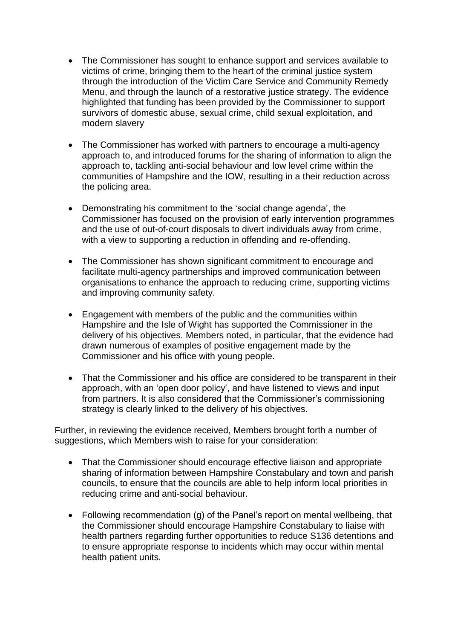- The Commissioner has sought to enhance support and services available to victims of crime, bringing them to the heart of the criminal justice system through the introduction of the Victim Care Service and Community Remedy Menu, and through the launch of a restorative justice strategy. The evidence highlighted that funding has been provided by the Commissioner to support survivors of domestic abuse, sexual crime, child sexual exploitation, and modern slavery
- The Commissioner has worked with partners to encourage a multi-agency approach to, and introduced forums for the sharing of information to align the approach to, tackling anti-social behaviour and low level crime within the communities of Hampshire and the IOW, resulting in a their reduction across the policing area.
- Demonstrating his commitment to the 'social change agenda', the Commissioner has focused on the provision of early intervention programmes and the use of out-of-court disposals to divert individuals away from crime, with a view to supporting a reduction in offending and re-offending.
- The Commissioner has shown significant commitment to encourage and facilitate multi-agency partnerships and improved communication between organisations to enhance the approach to reducing crime, supporting victims and improving community safety.
- Engagement with members of the public and the communities within Hampshire and the Isle of Wight has supported the Commissioner in the delivery of his objectives. Members noted, in particular, that the evidence had drawn numerous of examples of positive engagement made by the Commissioner and his office with young people.
- That the Commissioner and his office are considered to be transparent in their approach, with an 'open door policy', and have listened to views and input from partners. It is also considered that the Commissioner's commissioning strategy is clearly linked to the delivery of his objectives.

Further, in reviewing the evidence received, Members brought forth a number of suggestions, which Members wish to raise for your consideration:

- That the Commissioner should encourage effective liaison and appropriate sharing of information between Hampshire Constabulary and town and parish councils, to ensure that the councils are able to help inform local priorities in reducing crime and anti-social behaviour.
- Following recommendation (g) of the Panel's report on mental wellbeing, that the Commissioner should encourage Hampshire Constabulary to liaise with health partners regarding further opportunities to reduce S136 detentions and to ensure appropriate response to incidents which may occur within mental health patient units.